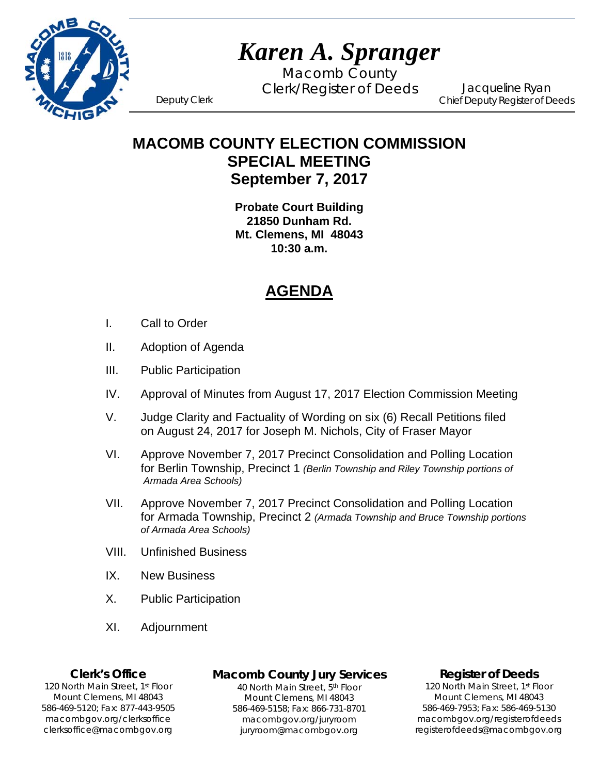

Macomb County Clerk/Register of Deeds Deputy Clerk

Jacqueline Ryan Chief Deputy Register of Deeds

## **MACOMB COUNTY ELECTION COMMISSION SPECIAL MEETING September 7, 2017**

**Probate Court Building 21850 Dunham Rd. Mt. Clemens, MI 48043 10:30 a.m.** 

# **AGENDA**

- I. Call to Order
- II. Adoption of Agenda
- III. Public Participation
- IV. Approval of Minutes from August 17, 2017 Election Commission Meeting
- V. Judge Clarity and Factuality of Wording on six (6) Recall Petitions filed on August 24, 2017 for Joseph M. Nichols, City of Fraser Mayor
- VI. Approve November 7, 2017 Precinct Consolidation and Polling Location for Berlin Township, Precinct 1 *(Berlin Township and Riley Township portions of Armada Area Schools)*
- VII. Approve November 7, 2017 Precinct Consolidation and Polling Location for Armada Township, Precinct 2 *(Armada Township and Bruce Township portions of Armada Area Schools)*
- VIII. Unfinished Business
- IX. New Business
- X. Public Participation
- XI. Adjournment

#### **Clerk's Office**

1`40 clerksoffice@macombgov.org 120 North Main Street, 1st Floor Mount Clemens, MI 48043 586-469-5120; Fax: 877-443-9505 macombgov.org/clerksoffice

## **Macomb County Jury Services**

40 North Main Street, 5th Floor Mount Clemens, MI 48043 586-469-5158; Fax: 866-731-8701 macombgov.org/juryroom juryroom@macombgov.org

#### **Register of Deeds**

120 North Main Street, 1<sup>st</sup> Floor Mount Clemens, MI 48043 586-469-7953; Fax: 586-469-5130 macombgov.org/registerofdeeds registerofdeeds@macombgov.org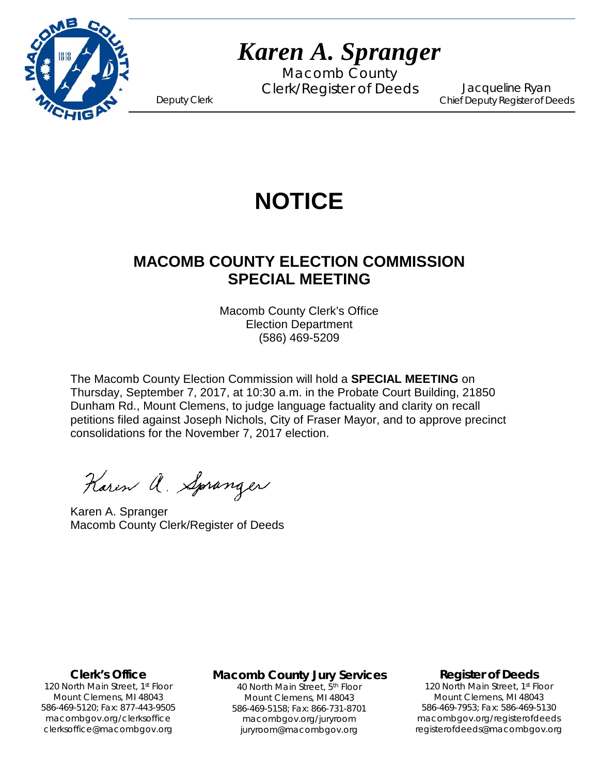

Macomb County Clerk/Register of Deeds Deputy Clerk

Jacqueline Ryan Chief Deputy Register of Deeds

# **NOTICE**

# **MACOMB COUNTY ELECTION COMMISSION SPECIAL MEETING**

Macomb County Clerk's Office Election Department (586) 469-5209

The Macomb County Election Commission will hold a **SPECIAL MEETING** on Thursday, September 7, 2017, at 10:30 a.m. in the Probate Court Building, 21850 Dunham Rd., Mount Clemens, to judge language factuality and clarity on recall petitions filed against Joseph Nichols, City of Fraser Mayor, and to approve precinct consolidations for the November 7, 2017 election.

Karen a. Spranger

Karen A. Spranger Macomb County Clerk/Register of Deeds

**Clerk's Office**

1`40 clerksoffice@macombgov.org 120 North Main Street, 1<sup>st</sup> Floor Mount Clemens, MI 48043 586-469-5120; Fax: 877-443-9505 macombgov.org/clerksoffice

**Macomb County Jury Services**

40 North Main Street, 5th Floor Mount Clemens, MI 48043 586-469-5158; Fax: 866-731-8701 macombgov.org/juryroom juryroom@macombgov.org

#### **Register of Deeds**

120 North Main Street, 1<sup>st</sup> Floor Mount Clemens, MI 48043 586-469-7953; Fax: 586-469-5130 macombgov.org/registerofdeeds registerofdeeds@macombgov.org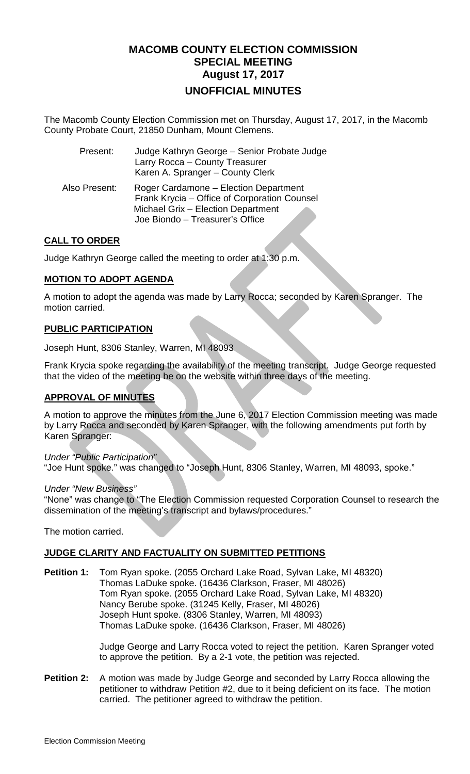## **MACOMB COUNTY ELECTION COMMISSION SPECIAL MEETING August 17, 2017 UNOFFICIAL MINUTES**

The Macomb County Election Commission met on Thursday, August 17, 2017, in the Macomb County Probate Court, 21850 Dunham, Mount Clemens.

| Present:      | Judge Kathryn George - Senior Probate Judge<br>Larry Rocca - County Treasurer<br>Karen A. Spranger - County Clerk                                              |
|---------------|----------------------------------------------------------------------------------------------------------------------------------------------------------------|
| Also Present: | Roger Cardamone - Election Department<br>Frank Krycia - Office of Corporation Counsel<br>Michael Grix - Election Department<br>Joe Biondo - Treasurer's Office |

### **CALL TO ORDER**

Judge Kathryn George called the meeting to order at 1:30 p.m.

### **MOTION TO ADOPT AGENDA**

A motion to adopt the agenda was made by Larry Rocca; seconded by Karen Spranger. The motion carried.

#### **PUBLIC PARTICIPATION**

Joseph Hunt, 8306 Stanley, Warren, MI 48093

Frank Krycia spoke regarding the availability of the meeting transcript. Judge George requested that the video of the meeting be on the website within three days of the meeting.

#### **APPROVAL OF MINUTES**

A motion to approve the minutes from the June 6, 2017 Election Commission meeting was made by Larry Rocca and seconded by Karen Spranger, with the following amendments put forth by Karen Spranger:

*Under "Public Participation"* "Joe Hunt spoke." was changed to "Joseph Hunt, 8306 Stanley, Warren, MI 48093, spoke."

*Under "New Business"*

"None" was change to "The Election Commission requested Corporation Counsel to research the dissemination of the meeting's transcript and bylaws/procedures."

The motion carried.

## **JUDGE CLARITY AND FACTUALITY ON SUBMITTED PETITIONS**

**Petition 1:** Tom Ryan spoke. (2055 Orchard Lake Road, Sylvan Lake, MI 48320) Thomas LaDuke spoke. (16436 Clarkson, Fraser, MI 48026) Tom Ryan spoke. (2055 Orchard Lake Road, Sylvan Lake, MI 48320) Nancy Berube spoke. (31245 Kelly, Fraser, MI 48026) Joseph Hunt spoke. (8306 Stanley, Warren, MI 48093) Thomas LaDuke spoke. (16436 Clarkson, Fraser, MI 48026)

> Judge George and Larry Rocca voted to reject the petition. Karen Spranger voted to approve the petition. By a 2-1 vote, the petition was rejected.

**Petition 2:** A motion was made by Judge George and seconded by Larry Rocca allowing the petitioner to withdraw Petition #2, due to it being deficient on its face. The motion carried. The petitioner agreed to withdraw the petition.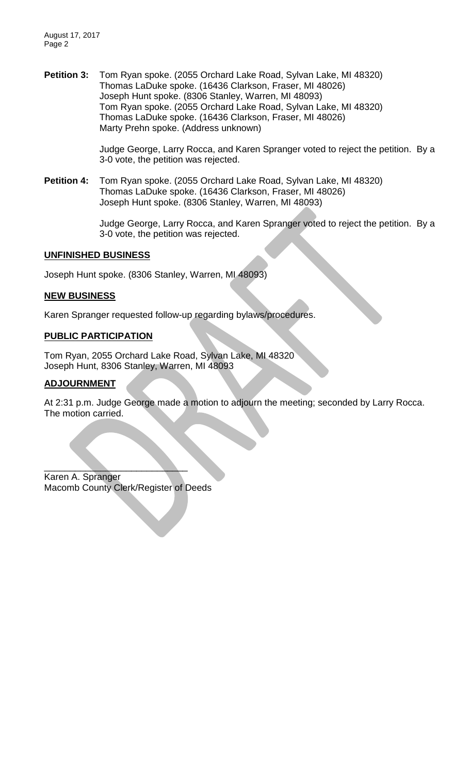August 17, 2017 Page 2

**Petition 3:** Tom Ryan spoke. (2055 Orchard Lake Road, Sylvan Lake, MI 48320) Thomas LaDuke spoke. (16436 Clarkson, Fraser, MI 48026) Joseph Hunt spoke. (8306 Stanley, Warren, MI 48093) Tom Ryan spoke. (2055 Orchard Lake Road, Sylvan Lake, MI 48320) Thomas LaDuke spoke. (16436 Clarkson, Fraser, MI 48026) Marty Prehn spoke. (Address unknown)

> Judge George, Larry Rocca, and Karen Spranger voted to reject the petition. By a 3-0 vote, the petition was rejected.

**Petition 4:** Tom Ryan spoke. (2055 Orchard Lake Road, Sylvan Lake, MI 48320) Thomas LaDuke spoke. (16436 Clarkson, Fraser, MI 48026) Joseph Hunt spoke. (8306 Stanley, Warren, MI 48093)

> Judge George, Larry Rocca, and Karen Spranger voted to reject the petition. By a 3-0 vote, the petition was rejected.

#### **UNFINISHED BUSINESS**

Joseph Hunt spoke. (8306 Stanley, Warren, MI 48093)

#### **NEW BUSINESS**

Karen Spranger requested follow-up regarding bylaws/procedures.

#### **PUBLIC PARTICIPATION**

Tom Ryan, 2055 Orchard Lake Road, Sylvan Lake, MI 48320 Joseph Hunt, 8306 Stanley, Warren, MI 48093

## **ADJOURNMENT**

At 2:31 p.m. Judge George made a motion to adjourn the meeting; seconded by Larry Rocca. The motion carried.

 $\qquad \qquad \qquad \qquad \qquad \qquad \qquad \qquad$ Karen A. Spranger Macomb County Clerk/Register of Deeds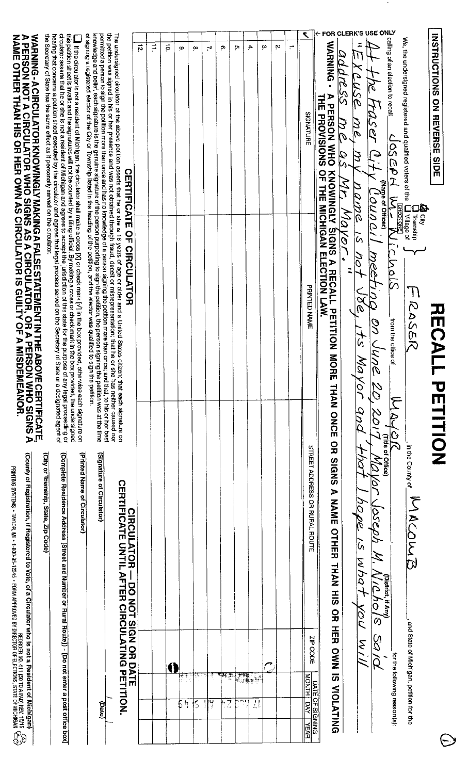| WARNING-A CIRCULATOR KNOWINGLY MAKING A FALSE STATEMENT IN THE ABOVE CERTIFICATE.<br>A PERSON NOT A CIRCULATOR WHO SIGNS AS A CIRCULATOR, OR A PERSON WHO SIGNS A<br>NAME OTHER THAN HIS OR HER OWN AS CIRCULATOR IS GUILTY OF A MIS<br>(County of Registration, if Registered to Vote, of a Circulator who is not a Resident of Mic<br>REQRIDER A DT (GA PAO) (GA PHOLOGE) 12345 - FORM APPROVED BY DIRECTOR OF ELECTIONS, STATE OF MICHIGAN<br>Printing Systems - Taylor, Mi + 1-800-95-12345 - Form Approved By Director of Elections, State of Michigan | circulator asserts that he or she is not a resident of Michigan and agrees to accept the jurisdiction of this state for the purpose of any legal proceeding or<br>hearing that concerns a petition sheet executed by the circulat<br>the Secretary of State has the same effect as if personally served on the circulator.<br>this petrilon sheet is invalid and the signatures will not be counted by a filing official. By making a cross or check mark in the box provided, the undersigned<br>If the circulator is not a resident of Michigan, the circulator shall make a cross [X] or check mark [Y] in the box provided, otherwise each signature on<br>(Printed Name of Circulator)<br>(Complete Residence Address [Street and Number or Rural Route]) - [Do not enter a post office box]<br>(City or Township, State, Zip Code) | knowledge and belief, each signature is the genuine signature of the person purporting to sign the pertiton, the person signing the petition was at the time<br>of signing a registered elector of the City or Township listed in<br>permitted a person to sign the petition more than once and has no knowledge of a person signing the petition more than once; and that, to his or her best<br>(Signature of Circulator) | The undersigned circulator of the above petition asserts that he or she is 18 years of age or older and a United States citizen; that each signature on<br>the petition was signed in his or her presence and was not obtained th<br><b>CERTIFICATE OF CIRCULATOR</b><br><b>CERTIFICATE</b><br><b>CIRCULATOR</b><br>DNTIL<br>DO NOT SIGN OR DO NOT | 5 | ÷,<br>ā | o  | œ            | 71 | ø | ŗ٦                  | 4. | ω | Ņ | ÷ | ٢<br>SIGNATURE<br><b>PRINTED NAME</b><br><b>STREET ADDRESS</b><br>OR RURAL ROUTE | WARNING -<br>A PERSON WHO KNOWINGLY SIGNS A RECALL PETITION MORE<br>THE PROVISIONS OF THE MICHIGAN ELECTION LAW.<br>THAN ONCE<br>$\frac{1}{2}$<br><b>SIGNS</b><br>$\blacktriangleright$<br>NAME<br>OTHER<br><b>THAN HIS</b> | address<br>XCUSE<br><u>me</u><br>$\mathfrak{D}$<br>a S<br>Ŕ<br>ZK,<br>name<br>Mayer<br>ı<br>$\ddot{\phantom{0}}$ | FOR CLERK'S USE ONLY<br>k<br>S<br>HASer<br>$\Theta$<br>OUNC<br>ā<br>Meel<br>hot<br>$\beta$<br>$\tilde{t}$<br>Mayor<br>š<br><b>And</b><br>05eph<br>$\overline{S}$<br>Ź<br>$-50\sqrt{M}$<br>hol<br>VoV<br>$\overline{\mathcal{O}}$<br>Q.<br>Q<br>V / N | calling of an election to recall<br>JOSCON W<br>(Narne of Officer)<br><b>CHECK ONE</b><br>$\vert$<br>5<br>Lodis<br>from the office of<br>$\sum_{i}$<br><b>Office</b><br>(District, if Any) | We, the undersigned registered and qualified voters of the<br><b>Al</b> City<br>Dibwnship<br><b>J</b> Milage of<br>$\overline{T}$<br>RASER<br>in the County of<br>MACOWE |  |
|-------------------------------------------------------------------------------------------------------------------------------------------------------------------------------------------------------------------------------------------------------------------------------------------------------------------------------------------------------------------------------------------------------------------------------------------------------------------------------------------------------------------------------------------------------------|------------------------------------------------------------------------------------------------------------------------------------------------------------------------------------------------------------------------------------------------------------------------------------------------------------------------------------------------------------------------------------------------------------------------------------------------------------------------------------------------------------------------------------------------------------------------------------------------------------------------------------------------------------------------------------------------------------------------------------------------------------------------------------------------------------------------------------------|-----------------------------------------------------------------------------------------------------------------------------------------------------------------------------------------------------------------------------------------------------------------------------------------------------------------------------------------------------------------------------------------------------------------------------|----------------------------------------------------------------------------------------------------------------------------------------------------------------------------------------------------------------------------------------------------------------------------------------------------------------------------------------------------|---|---------|----|--------------|----|---|---------------------|----|---|---|---|----------------------------------------------------------------------------------|-----------------------------------------------------------------------------------------------------------------------------------------------------------------------------------------------------------------------------|------------------------------------------------------------------------------------------------------------------|------------------------------------------------------------------------------------------------------------------------------------------------------------------------------------------------------------------------------------------------------|--------------------------------------------------------------------------------------------------------------------------------------------------------------------------------------------|--------------------------------------------------------------------------------------------------------------------------------------------------------------------------|--|
| higan)<br>Ee                                                                                                                                                                                                                                                                                                                                                                                                                                                                                                                                                |                                                                                                                                                                                                                                                                                                                                                                                                                                                                                                                                                                                                                                                                                                                                                                                                                                          | (Date)                                                                                                                                                                                                                                                                                                                                                                                                                      | <b>AFTER CIRCULATING PETITION.</b>                                                                                                                                                                                                                                                                                                                 |   |         | ∮ካ | 鄉<br>$\vert$ | Ħ  | Z | nte poet.<br>Titulo | L! |   |   |   | ZP CODE<br><b>MONTH</b><br><u>DATE OF SIGNING</u><br>DNTH   DAY   YEAR           | OR HER OWN IS VIOLATING                                                                                                                                                                                                     |                                                                                                                  |                                                                                                                                                                                                                                                      | for the following reason(s):                                                                                                                                                               | , and State of Michigan, petition for the                                                                                                                                |  |

 $\bigodot$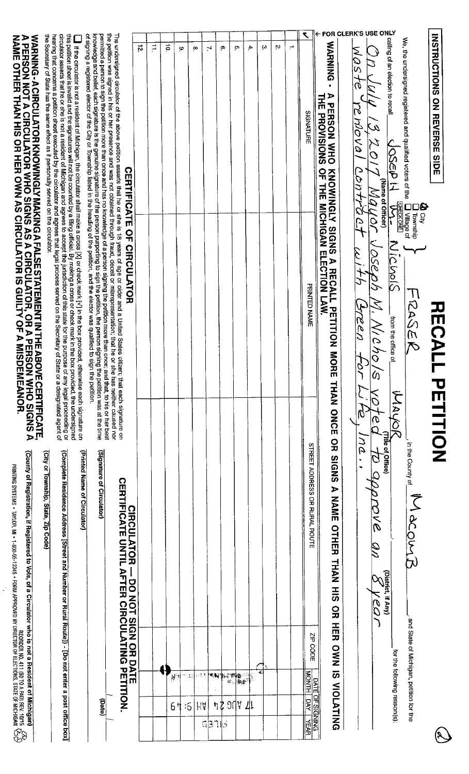| (Complete Residence Address [Street and Number or Rural Route]) - [Do not enter a post office box]<br>(County of Registration, if Registered to Vote, of a Circulator who is not a Resident of Michigan)<br>REDREEL AS PARTICULAR MAIL - 1900-95-12365 - 1900-94 NAGPROVED DY DRECTIONS, STATE OF MICHIGAN<br>PRINTING SYSTEMS - TAYLOR, MAI - 1-800-95-12345 - 1900-94 NAGPROVED DY DRECTIONS CITATE OF MICHIGAN<br>- DO NOT SIGN OR DATE<br>OR HER OWN IS YOLD.<br>and State of Michigan, petition for<br>ZIP CODE<br><b>ATING PETITION</b><br>for the following reason(s):<br>NONTH DAY<br>医理觉<br><b>SHEET AN</b><br>″.⊰al<br>à, |
|-------------------------------------------------------------------------------------------------------------------------------------------------------------------------------------------------------------------------------------------------------------------------------------------------------------------------------------------------------------------------------------------------------------------------------------------------------------------------------------------------------------------------------------------------------------------------------------------------------------------------------------|
|-------------------------------------------------------------------------------------------------------------------------------------------------------------------------------------------------------------------------------------------------------------------------------------------------------------------------------------------------------------------------------------------------------------------------------------------------------------------------------------------------------------------------------------------------------------------------------------------------------------------------------------|

 $\frac{1}{\sqrt{2}}$ 

 $\mathbb{R}$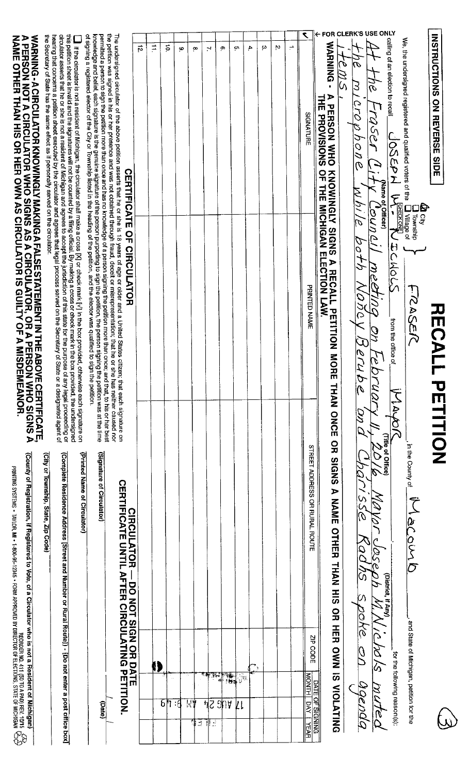| (County of Registration, if Registered to Vote, of a Circulator who is not a Resident of Michigan)<br>REQUENTING SYSTEMS • TAYLOR, MI • 1-800-95-12345 • 1-81510 BY DIRECTOR OF ELECTIONS, STATE OF MICHIGAN<br>Priving Systems • Taylor, MI • 1-800-95-12345 • Form Approved By Director of Elections, State of Michigan<br>$\frac{\mathcal{P}}{\mathcal{P}}$ |                                                               | WARNING - A CIRCULATOR KNOWINGLY MAKING A FALSE STATEMENT IN THE ABOVE CERTIFICATE.<br>A PERSON NOT A CIRCULATOR WHO SIGNS AS A CIRCULATOR, OR A PERSON WHO SIGNS A<br>NAME OTHER THAN HIS OR HER OWN AS CIRCULATOR IS GUILTY OF A M                                                                                                                                                                                                                                            |
|----------------------------------------------------------------------------------------------------------------------------------------------------------------------------------------------------------------------------------------------------------------------------------------------------------------------------------------------------------------|---------------------------------------------------------------|---------------------------------------------------------------------------------------------------------------------------------------------------------------------------------------------------------------------------------------------------------------------------------------------------------------------------------------------------------------------------------------------------------------------------------------------------------------------------------|
| (Printed Name of Circulator)<br>(Complete Residence Address [Street and Number or Rural Route]) - [Do not enter a post<br>(City or Township, State, Zip Code)<br>office<br><b>kod</b>                                                                                                                                                                          | otherwise each signature on                                   | the Secretary of State has the same effect as if personally served on the circulator.<br>this petition sheet is invalid and the signatures will not be counted by a filing official. By making a cross or check mark in the box provided, the undersigned<br>circulator asserts that he or she is not a resident of Michig<br>I if the circulator is not a resident of Michigan, the circulator shall make a cross [X] or check mark [V] in the box provided,                   |
| (Signature of Circulator)<br>(pate)                                                                                                                                                                                                                                                                                                                            |                                                               | of signing a registered slector of the City or Township listed in the heading of the petition, and the elector was qualified to sign the petition.<br>knowledge and beliel, each signature is the genuine signature of the person purporting to sign the petition, the person signing the petition was at the time<br>permitted a person to sign the petition more than once and has no knowledge of a person signing the petition more than once; and that, to his or her best |
| <b>CIRCULATOR - DO NOT SIGN OR DATE<br/>CERTIFICATE UNTIL AFTER CIRCULATING PETITION</b><br>⋷                                                                                                                                                                                                                                                                  | izen; that each signature on                                  | the petition was signed in his or her presence and was not obtained through fraud, deceit or misrepresentation; that he or she has neither caused nor<br>The undersigned circulator of the above petition asserts that he or she is 18 years of age or older and a United States cit<br>CERTIFICATE OF CIRCULATOR                                                                                                                                                               |
|                                                                                                                                                                                                                                                                                                                                                                |                                                               | $\vec{p}$                                                                                                                                                                                                                                                                                                                                                                                                                                                                       |
|                                                                                                                                                                                                                                                                                                                                                                |                                                               | Ë                                                                                                                                                                                                                                                                                                                                                                                                                                                                               |
| $6$ 1                                                                                                                                                                                                                                                                                                                                                          |                                                               | $\vec{P}$                                                                                                                                                                                                                                                                                                                                                                                                                                                                       |
| -9                                                                                                                                                                                                                                                                                                                                                             |                                                               | œ                                                                                                                                                                                                                                                                                                                                                                                                                                                                               |
| 법<br>!≛                                                                                                                                                                                                                                                                                                                                                        |                                                               | œ                                                                                                                                                                                                                                                                                                                                                                                                                                                                               |
| 31<br>42<br>∦∷                                                                                                                                                                                                                                                                                                                                                 |                                                               | 71                                                                                                                                                                                                                                                                                                                                                                                                                                                                              |
| 30h                                                                                                                                                                                                                                                                                                                                                            |                                                               | Ф                                                                                                                                                                                                                                                                                                                                                                                                                                                                               |
| * <del>*</del><br>***<br>測<br>ΨI                                                                                                                                                                                                                                                                                                                               |                                                               | çn,                                                                                                                                                                                                                                                                                                                                                                                                                                                                             |
|                                                                                                                                                                                                                                                                                                                                                                |                                                               | 4.                                                                                                                                                                                                                                                                                                                                                                                                                                                                              |
|                                                                                                                                                                                                                                                                                                                                                                |                                                               | ω                                                                                                                                                                                                                                                                                                                                                                                                                                                                               |
|                                                                                                                                                                                                                                                                                                                                                                |                                                               | N                                                                                                                                                                                                                                                                                                                                                                                                                                                                               |
|                                                                                                                                                                                                                                                                                                                                                                |                                                               | ÷                                                                                                                                                                                                                                                                                                                                                                                                                                                                               |
| <b>STREET ADDRESS OR RURAL ROUTE</b><br>ZIP CODE<br><b>MONTH</b><br>k<br>唇                                                                                                                                                                                                                                                                                     | PRINTED NAME                                                  | ٢<br><b>SIGNATURE</b>                                                                                                                                                                                                                                                                                                                                                                                                                                                           |
| <b>SNPIS</b><br><b>A NAME</b><br>OTHER<br><b>THAN HIS</b><br>OR HER OWN IS VIOLATING<br><b>DATE OF S</b><br><b>GNING</b>                                                                                                                                                                                                                                       | KNOWINGLY SIGNS A RECALL PETITION MORE<br>THAN ONCE<br>요<br>묘 | WARNING -<br>$\blacktriangleright$<br>THE PROVISIONS<br><b>PERSON WHO</b><br>OF THE MICHIGAN ELECTION LAW                                                                                                                                                                                                                                                                                                                                                                       |
| iQí<br>NSSY<br>oye<br>$\overline{\mathcal{O}}$<br>US<br>K)                                                                                                                                                                                                                                                                                                     | ON C<br>V.<br>$\frac{\partial}{\partial \mathcal{L}}$         | FOR CLERK'S USE<br>$\phi'$<br>algrophone<br>w hi le<br>60+h                                                                                                                                                                                                                                                                                                                                                                                                                     |
| 21 OG<br>グレフ<br>$\frac{\mathcal{D}}{\mathcal{D}_{\text{L}}}$<br>Ā<br>Q                                                                                                                                                                                                                                                                                         | meetina<br>N<br>Drua                                          | Lraser C<br>(Name of Officer)<br>ounal                                                                                                                                                                                                                                                                                                                                                                                                                                          |
| District, if Any)<br>for the following reason(s):                                                                                                                                                                                                                                                                                                              | from the office of<br><b>FLAS</b><br>(Title of Office)        | <b>ONLY</b><br>caling of an election to recal<br>JOSEPH V<br><b>COMPACT MOLS</b>                                                                                                                                                                                                                                                                                                                                                                                                |
| in the County of<br>$\tilde{\mathcal{C}}$<br><u>براہ کے ض</u><br>" and State of Michigan, petition for the                                                                                                                                                                                                                                                     | <b>FRASEIC</b>                                                | We, the undersigned registered and qualified voters of the<br><b>Correct Contracts</b> of<br>Correction<br>Correct Correct                                                                                                                                                                                                                                                                                                                                                      |
|                                                                                                                                                                                                                                                                                                                                                                | <b>HECAL</b><br>PETITION                                      | INSTRUCTIONS ON REVERSE<br><b>SIDE</b>                                                                                                                                                                                                                                                                                                                                                                                                                                          |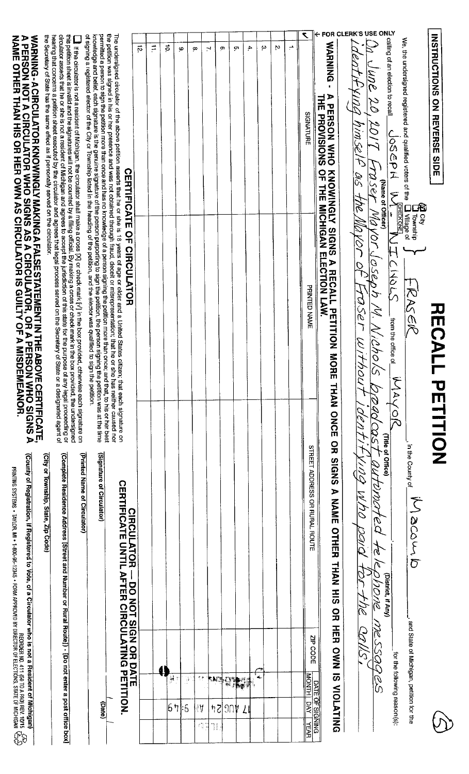| WARNING-ACIRCULATOR KNOWINGLY MAKING A FALSE STATEMENT IN THE ABOVE CERTIFICATE.<br>A PERSON NOT A CIRCULATOR WHO SIGNS AS A CIRCULATOR, OR A PERSON WHO SIGNS A<br>NAME OTHER THAN HIS OR HER OWN AS CIRCULATOR IS GUILTY OF A MISD  | circulator asserts that he or she is not a resident of Michigan and agrees to accept the jurisdiction of this state for the purpose of any legal proceeding or<br>hearing that concerns a petition sheet executed by the circulat<br>this petriton sheet is invalid and the signatures will not be counted by a filing official. By making a cross or check mark in the box provided, the undersigned<br>$\parallel$ if the circulator is not a resident of Michigan, the circulator shall make a cross [X] or check mark [Y] in the box provided, otherwise each signature on | The undersigned circulator of the above petition asserts that he or she is 18 years of age or older and a United States citizen; that each signature on<br>the petition was signed in his or her presence and was not obtained th<br>permitted a person to sign the petition more than once and has no knowledge of a person signing the petition more than once; and that, to his or her best<br>knowledge and belief, each signature is the genuine signature of the<br>of signing a registered elector of the City or Township listed in the heading of the petition, and the elector was qualified to sign the petition. | $\vec{p}$<br><b>CERTIFICATE OF CIRCULATOR</b>                                                     | $\vec{r}$ | $\vec{P}$ | 6         | œ                | N           | σ            | ç. | 4. | ω | Ņ | ÷ | ۲<br>SIGNATURE                                   | $\leftarrow$ FOR CLERK'S USE<br>WARNING<br>$\blacksquare$<br><b>A PERSON WHO</b><br>THE PROVISIONS<br>OF THE MICHIGAN ELECTION LAW | Fynna himsel<br>25 A                        | <b>ONLY</b><br>calling of an election to recall<br>une 20<br>$2/0\%$<br>MSey<br>(Name of Officer)<br>1 OM | We, the undersigned registered and qualified voters of the<br>JOSEAH<br>ج<br><b>CHECK ONE</b> | INSTRUCTIONS ON REVERSE SIDE   |
|---------------------------------------------------------------------------------------------------------------------------------------------------------------------------------------------------------------------------------------|--------------------------------------------------------------------------------------------------------------------------------------------------------------------------------------------------------------------------------------------------------------------------------------------------------------------------------------------------------------------------------------------------------------------------------------------------------------------------------------------------------------------------------------------------------------------------------|------------------------------------------------------------------------------------------------------------------------------------------------------------------------------------------------------------------------------------------------------------------------------------------------------------------------------------------------------------------------------------------------------------------------------------------------------------------------------------------------------------------------------------------------------------------------------------------------------------------------------|---------------------------------------------------------------------------------------------------|-----------|-----------|-----------|------------------|-------------|--------------|----|----|---|---|---|--------------------------------------------------|------------------------------------------------------------------------------------------------------------------------------------|---------------------------------------------|-----------------------------------------------------------------------------------------------------------|-----------------------------------------------------------------------------------------------|--------------------------------|
|                                                                                                                                                                                                                                       |                                                                                                                                                                                                                                                                                                                                                                                                                                                                                                                                                                                |                                                                                                                                                                                                                                                                                                                                                                                                                                                                                                                                                                                                                              |                                                                                                   |           |           |           |                  |             |              |    |    |   |   |   | PRINTED NAME                                     | KNOWNGLY SIGNS A RECALL PETITION MORE<br><b>THAN ONCE</b>                                                                          | JOT<br>$\mathcal{Q}^{'}$<br>reser<br>Withou | Voryaseph<br>ity.<br>Nichoi<br>$\infty$<br>DAO CQS                                                        | ICMOLS<br>エススのス<br>trom the office of $\tilde{ }$<br>j<br>AAJ<br>$\frac{1}{2}$                | <b>HECAL</b><br><b>PETHION</b> |
| (County of Registration, if Registered to Vote, of a Circulator who is not a Resident of Mic<br>REGINER (DRA A DT 1931)<br>Printing Systems • Taylor, M1 • 1-800-95-12345 • Form Approyed By Dibector of Elections, State of Michigan | (Complete Residence Address [Street and Number or Rural Route]) - [Do not enter a post<br>(Printed Name of Circulator)<br>(City or Township, State, Zip Code)                                                                                                                                                                                                                                                                                                                                                                                                                  | (Signature of Circulator)                                                                                                                                                                                                                                                                                                                                                                                                                                                                                                                                                                                                    | <b>CERTIFICATE UNTIL AFTER CIRCULATING PETITION</b><br><b>CIRCULATOR</b><br>- DO NOI SIGN OR DATE |           |           |           |                  |             |              |    |    |   |   |   | STREET ADDRESS OR RURAL ROUTE                    | OR SIGNS<br><b>A NAME</b><br>OTHER<br><b>HANH</b><br>$\frac{1}{5}$<br>$\frac{1}{2}$<br>王田                                          | RNA PON<br>DIOR<br>400-1112                 | (Title of Office)<br>automated<br>4<br>T<br>910016<br>(District, if Any)                                  | in the County of<br>Sasser                                                                    |                                |
| nigan)<br>ඳිඉ                                                                                                                                                                                                                         | office<br>kod                                                                                                                                                                                                                                                                                                                                                                                                                                                                                                                                                                  | (Date)                                                                                                                                                                                                                                                                                                                                                                                                                                                                                                                                                                                                                       | ₹                                                                                                 |           | i<br>41   | Ğ<br>67:5 | 贵亲<br>1Å<br>fg W | sa s<br>ij, | $hZ$   $30h$ | ┶  |    | 4 |   |   | ZP CODE<br><b>MONTH</b><br>g<br>NONING<br>Y_YEAR | SI NAO<br>DATE OF S<br><b>NIOLA</b><br><b>TING</b>                                                                                 | SVDT                                        | <b>MESSOG</b><br>26<br>0                                                                                  | -, and State of Michigan, petition for<br>for the following reason(s):<br>n<br>Si             |                                |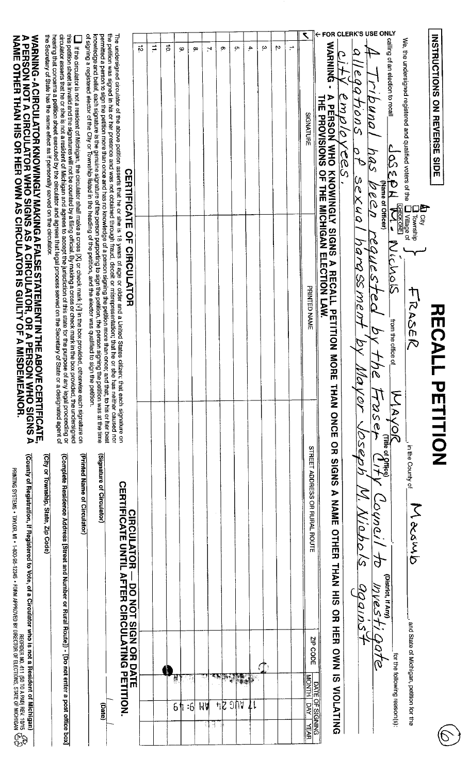| WARNING - ACIRCULATOR KNOWINGLY MAKING A FALSE STATEMENT IN THE ABOVE CERTIFI<br>A PERSON NOT A CIRCULATOR WHO SIGNS AS A CIRCULATOR, OR A PERSON WHO SI<br>NAME OTHER THAN HIS OR HER OWN AS CIRCULATOR IS GUILTY OF A MISDEMEANOR.<br><b>OVE CERTIFICATE,<br/>ON WHO SIGNS A</b>                                 | this perition sheet is invalid and the signatures will not be counted by a filing official. By making a cross or check mark in the box provided, the undersigned<br>circulator asserts that he or she is not a resident of Michigan and agrees to accept the jurisdiction of this state for the purpose of any legal proceeding or<br>the Secretary of State has the same effect as if personally served on the circulator.<br>hearing that concerns a petition sheet executed by the circulator and agrees that legal process served on the Secretary of Si<br>If the circulator is not a resident of Michigan, the circulator shall make a cross [X] or check mark $\{V\}$ in the box provided,<br>tate or a designated agent of<br>otherwise each signature on | The undersigned circulator of the above petition asserts that he or she is 18 years of age or older and a United States citizen; that each signature on<br>the petition was signed in his or her presence and was not obtained th<br>of signing a registered elector of the City or Township listed in the heading of the petition, and the elector was qualified to sign the petition.<br>permitted a person to sign the petition more than once and has no knowledge of a person signing the petition more than once; and that, to his or her best<br>knowledge and belief, each signature is the genuine signature of the<br><b>CERTIFICATE OF CIRCULATOR</b> | ಸ                                          | $\sharp$ | ă | Φ  | œ         | N       | ō,     | ç۳                                  | Ą.                     | ω | Ņ | $\div$ | ↖<br>SIGNATURE<br>PRINTED NAME                                                                       | WARNING<br><b>THE PROVISIONS OF LIFE MICHIGAN ELECTION LAW</b><br><b>PERSON</b><br>MHN<br><b>KNOWINGLY SIGNS</b><br>A RECALL PETITION MO<br>五円 | $\vert \mathcal{C} \vert$<br>971015<br>emplo<br>Ì<br>O<br>$\frac{\varphi}{\varphi}$<br>Ċ,<br>Sexual<br>NaraSSMen<br>Wa.<br>VOY<br>1050 | FOR CLERK'S USE ONLY<br>calling of an election to recall<br>buna.<br><u> 225 </u><br>T<br>Z<br>(Name of Officer)<br>N 3 6 G<br>$\overline{\mathbf{r}}$<br>equeste<br>7C<br>FOSE<br>$\frac{1}{\sqrt{\mathsf{A}\mathsf{A}\mathsf{A}\mathsf{B}}}\frac{1}{\mathsf{A}\mathsf{B}}$ | We, the undersigned registered and qualified voters of the<br><b>FOXONE</b><br>  Village of<br>Nichals<br>RASER<br>from the office of | <b>LD</b> City<br>Township | INSTRICTIONS ON REVERSE<br>요<br>미모<br><b>RECAL</b><br><b>PETITION</b> |
|--------------------------------------------------------------------------------------------------------------------------------------------------------------------------------------------------------------------------------------------------------------------------------------------------------------------|-------------------------------------------------------------------------------------------------------------------------------------------------------------------------------------------------------------------------------------------------------------------------------------------------------------------------------------------------------------------------------------------------------------------------------------------------------------------------------------------------------------------------------------------------------------------------------------------------------------------------------------------------------------------------------------------------------------------------------------------------------------------|------------------------------------------------------------------------------------------------------------------------------------------------------------------------------------------------------------------------------------------------------------------------------------------------------------------------------------------------------------------------------------------------------------------------------------------------------------------------------------------------------------------------------------------------------------------------------------------------------------------------------------------------------------------|--------------------------------------------|----------|---|----|-----------|---------|--------|-------------------------------------|------------------------|---|---|--------|------------------------------------------------------------------------------------------------------|------------------------------------------------------------------------------------------------------------------------------------------------|----------------------------------------------------------------------------------------------------------------------------------------|------------------------------------------------------------------------------------------------------------------------------------------------------------------------------------------------------------------------------------------------------------------------------|---------------------------------------------------------------------------------------------------------------------------------------|----------------------------|-----------------------------------------------------------------------|
| (County of Registration, if Registered to Vote, of a Circulator who is not a Resident of Michigan)<br>REQUENTING SYSTEMS • TAYLOR, MI • 1-800-95-12345 • 1805-1944 MBPROPER NO. 411 (SO TO A PACHIGAN YEY)<br>PRIMITING SYSTEMS • TAYLOR, MI • 1-800-95-12345 • 1805-1944 MBPECTOR OF ELECTIONS, STATE OF MICHIGAN | (Complete Residence Address [Street and Number or Rural Route]) - [Do not enter a post<br>(Printed Name of Circulator)<br>(City or Township, State, Zip Code)<br>office<br><b>pox</b>                                                                                                                                                                                                                                                                                                                                                                                                                                                                                                                                                                             | (Signature of Circulator)<br><b>CERTIFICATE</b><br>DRTIL<br><b>AFTER CIRCULATING PETITION</b><br>(Date)<br>$\blacksquare$                                                                                                                                                                                                                                                                                                                                                                                                                                                                                                                                        | <b>CIRCULATOR</b><br>- DO NOT SIGN OR DATE |          | Ņ | 64 | $\cdot 6$ | MA<br>Ħ | $\neg$ | <b>TAR TESTING</b><br>$J\mathbb{U}$ | $\downarrow\downarrow$ |   |   |        | STREET ADDESS OR RURAL ROUTE<br><b>ZIP CODE</b><br><b>HINOW</b><br>ΙŠ<br><b>V   YEAR</b><br>V   YEAR | THAN ONCE ON SIGNS A NAME OTHER THAN NEW<br><b>OR HER</b><br><b>DWN IS NOLA</b><br>DATE OF S<br><b>TING</b>                                    | <i><b>ADI</b></i><br>$\widehat{\omega}$<br>gqainst                                                                                     | <i><b>Louveil</b></i><br><u>q</u><br>(District, if Any)<br>WVesti                                                                                                                                                                                                            | in the County of<br>_, and State of Michigan, petition fo<br>for the following reason(s):<br>r the                                    | Jacamb                     |                                                                       |

PRENTING SYSTEMS • TAYLOR, M1 • T-800-95-12345 • FJ+RM APPHOVED BY UDEEC IOL 11: ELECT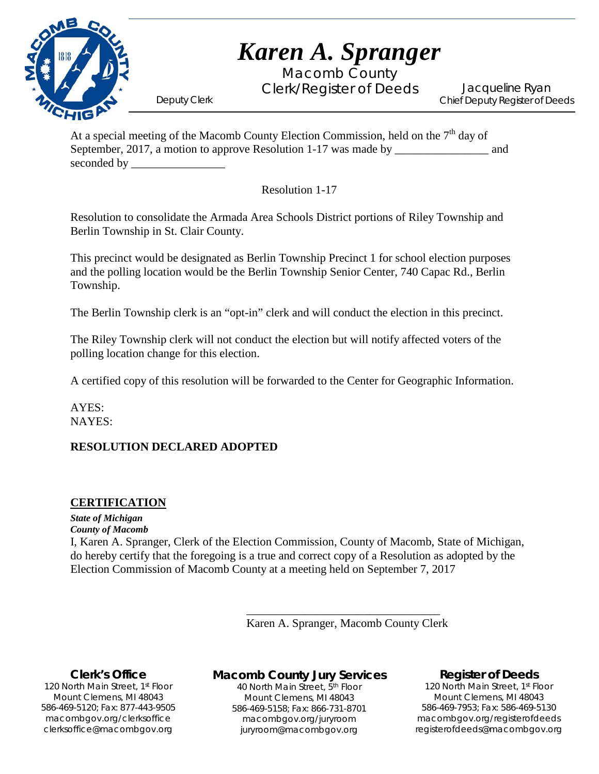

Macomb County Clerk/Register of Deeds Deputy Clerk

Jacqueline Ryan Chief Deputy Register of Deeds

At a special meeting of the Macomb County Election Commission, held on the  $7<sup>th</sup>$  day of September, 2017, a motion to approve Resolution 1-17 was made by and seconded by \_\_\_\_\_\_\_\_\_\_\_\_\_\_\_\_

Resolution 1-17

Resolution to consolidate the Armada Area Schools District portions of Riley Township and Berlin Township in St. Clair County.

This precinct would be designated as Berlin Township Precinct 1 for school election purposes and the polling location would be the Berlin Township Senior Center, 740 Capac Rd., Berlin Township.

The Berlin Township clerk is an "opt-in" clerk and will conduct the election in this precinct.

The Riley Township clerk will not conduct the election but will notify affected voters of the polling location change for this election.

A certified copy of this resolution will be forwarded to the Center for Geographic Information.

AYES: NAYES:

#### **RESOLUTION DECLARED ADOPTED**

#### **CERTIFICATION**

*State of Michigan County of Macomb* I, Karen A. Spranger, Clerk of the Election Commission, County of Macomb, State of Michigan, do hereby certify that the foregoing is a true and correct copy of a Resolution as adopted by the Election Commission of Macomb County at a meeting held on September 7, 2017

> \_\_\_\_\_\_\_\_\_\_\_\_\_\_\_\_\_\_\_\_\_\_\_\_\_\_\_\_\_\_\_\_\_ Karen A. Spranger, Macomb County Clerk

#### **Clerk's Office**

1`40 clerksoffice@macombgov.org 120 North Main Street, 1st Floor Mount Clemens, MI 48043 586-469-5120; Fax: 877-443-9505 macombgov.org/clerksoffice

## **Macomb County Jury Services**

40 North Main Street, 5th Floor Mount Clemens, MI 48043 586-469-5158; Fax: 866-731-8701 macombgov.org/juryroom juryroom@macombgov.org

#### **Register of Deeds**

120 North Main Street, 1st Floor Mount Clemens, MI 48043 586-469-7953; Fax: 586-469-5130 macombgov.org/registerofdeeds registerofdeeds@macombgov.org